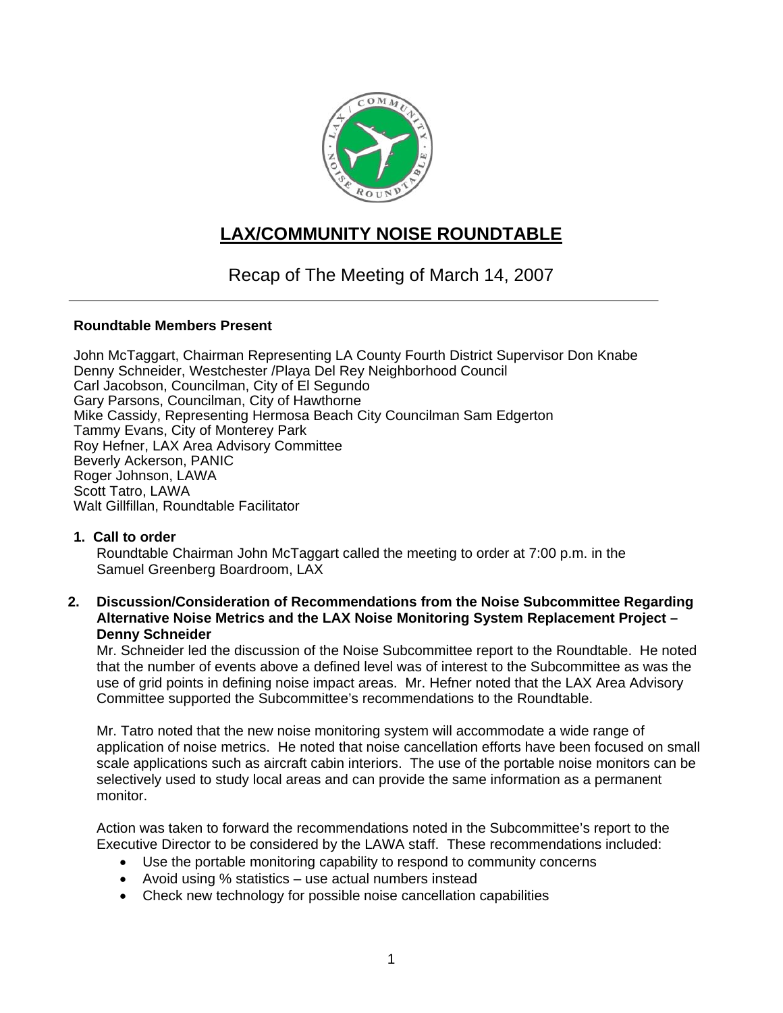

# **LAX/COMMUNITY NOISE ROUNDTABLE**

Recap of The Meeting of March 14, 2007

## **Roundtable Members Present**

John McTaggart, Chairman Representing LA County Fourth District Supervisor Don Knabe Denny Schneider, Westchester /Playa Del Rey Neighborhood Council Carl Jacobson, Councilman, City of El Segundo Gary Parsons, Councilman, City of Hawthorne Mike Cassidy, Representing Hermosa Beach City Councilman Sam Edgerton Tammy Evans, City of Monterey Park Roy Hefner, LAX Area Advisory Committee Beverly Ackerson, PANIC Roger Johnson, LAWA Scott Tatro, LAWA Walt Gillfillan, Roundtable Facilitator

## **1. Call to order**

Roundtable Chairman John McTaggart called the meeting to order at 7:00 p.m. in the Samuel Greenberg Boardroom, LAX

#### **2. Discussion/Consideration of Recommendations from the Noise Subcommittee Regarding Alternative Noise Metrics and the LAX Noise Monitoring System Replacement Project – Denny Schneider**

Mr. Schneider led the discussion of the Noise Subcommittee report to the Roundtable. He noted that the number of events above a defined level was of interest to the Subcommittee as was the use of grid points in defining noise impact areas. Mr. Hefner noted that the LAX Area Advisory Committee supported the Subcommittee's recommendations to the Roundtable.

Mr. Tatro noted that the new noise monitoring system will accommodate a wide range of application of noise metrics. He noted that noise cancellation efforts have been focused on small scale applications such as aircraft cabin interiors. The use of the portable noise monitors can be selectively used to study local areas and can provide the same information as a permanent monitor.

Action was taken to forward the recommendations noted in the Subcommittee's report to the Executive Director to be considered by the LAWA staff. These recommendations included:

- Use the portable monitoring capability to respond to community concerns
- Avoid using % statistics use actual numbers instead
- Check new technology for possible noise cancellation capabilities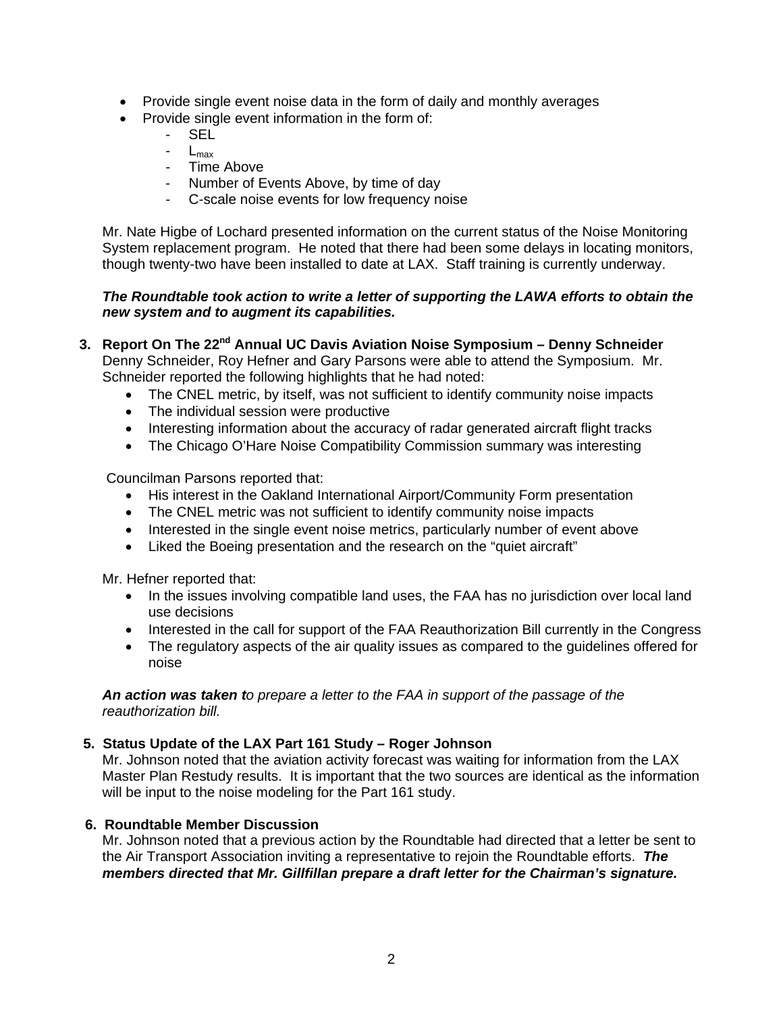- Provide single event noise data in the form of daily and monthly averages
- Provide single event information in the form of:
	- SEL<sup>-</sup>
	- $L_{\text{max}}$
	- Time Above
	- Number of Events Above, by time of day
	- C-scale noise events for low frequency noise

Mr. Nate Higbe of Lochard presented information on the current status of the Noise Monitoring System replacement program. He noted that there had been some delays in locating monitors, though twenty-two have been installed to date at LAX. Staff training is currently underway.

# *The Roundtable took action to write a letter of supporting the LAWA efforts to obtain the new system and to augment its capabilities.*

- **3. Report On The 22nd Annual UC Davis Aviation Noise Symposium Denny Schneider**  Denny Schneider, Roy Hefner and Gary Parsons were able to attend the Symposium. Mr. Schneider reported the following highlights that he had noted:
	- The CNEL metric, by itself, was not sufficient to identify community noise impacts
	- The individual session were productive
	- Interesting information about the accuracy of radar generated aircraft flight tracks
	- The Chicago O'Hare Noise Compatibility Commission summary was interesting

Councilman Parsons reported that:

- His interest in the Oakland International Airport/Community Form presentation
- The CNEL metric was not sufficient to identify community noise impacts
- Interested in the single event noise metrics, particularly number of event above
- Liked the Boeing presentation and the research on the "quiet aircraft"

Mr. Hefner reported that:

- In the issues involving compatible land uses, the FAA has no jurisdiction over local land use decisions
- Interested in the call for support of the FAA Reauthorization Bill currently in the Congress
- The regulatory aspects of the air quality issues as compared to the quidelines offered for noise

*An action was taken to prepare a letter to the FAA in support of the passage of the reauthorization bill.* 

## **5. Status Update of the LAX Part 161 Study – Roger Johnson**

Mr. Johnson noted that the aviation activity forecast was waiting for information from the LAX Master Plan Restudy results. It is important that the two sources are identical as the information will be input to the noise modeling for the Part 161 study.

## **6. Roundtable Member Discussion**

Mr. Johnson noted that a previous action by the Roundtable had directed that a letter be sent to the Air Transport Association inviting a representative to rejoin the Roundtable efforts. *The members directed that Mr. Gillfillan prepare a draft letter for the Chairman's signature.*